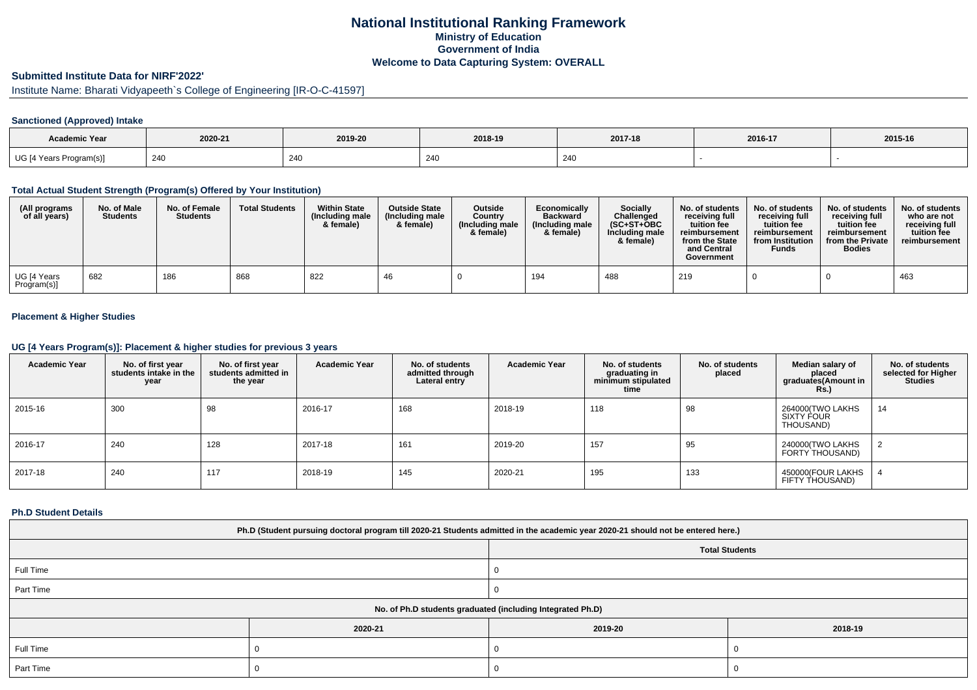## **National Institutional Ranking FrameworkMinistry of Education Government of IndiaWelcome to Data Capturing System: OVERALL**

# **Submitted Institute Data for NIRF'2022'**

# Institute Name: Bharati Vidyapeeth`s College of Engineering [IR-O-C-41597]

### **Sanctioned (Approved) Intake**

| <b>Academic Year</b>    |         |         |                        |         |         |         |
|-------------------------|---------|---------|------------------------|---------|---------|---------|
|                         | 2020-21 | 2019-20 | 2018-19                | 2017-18 | 2016-17 | 2015-16 |
| UG [4 Years Program(s)] | 240     | 240     | $\Omega$<br><b>Z41</b> | 240     |         |         |

#### **Total Actual Student Strength (Program(s) Offered by Your Institution)**

| (All programs<br>of all years) | No. of Male<br><b>Students</b> | No. of Female<br><b>Students</b> | <b>Total Students</b> | <b>Within State</b><br>(Including male<br>& female) | <b>Outside State</b><br>(Including male<br>& female) | <b>Outside</b><br>Country<br>(Including male<br>& female) | Economically<br><b>Backward</b><br>(Including male<br>& female) | <b>Socially</b><br>Challenged<br>$(SC+ST+OBC$<br>Including male<br>& female) | No. of students<br>receiving full<br>tuition fee<br>reimbursement<br>from the State<br>and Central<br>Government | No. of students<br>receiving full<br>tuition fee<br>reimbursement<br>from Institution<br><b>Funds</b> | No. of students<br>receiving full<br>tuition fee<br>reimbursement<br>from the Private<br><b>Bodies</b> | No. of students<br>who are not<br>receiving full<br>tuition fee<br>reimbursement |
|--------------------------------|--------------------------------|----------------------------------|-----------------------|-----------------------------------------------------|------------------------------------------------------|-----------------------------------------------------------|-----------------------------------------------------------------|------------------------------------------------------------------------------|------------------------------------------------------------------------------------------------------------------|-------------------------------------------------------------------------------------------------------|--------------------------------------------------------------------------------------------------------|----------------------------------------------------------------------------------|
| UG [4 Years<br>Program(s)]     | 682                            | 186                              | 868                   | 822                                                 | 46                                                   |                                                           | 194                                                             | 488                                                                          | 219                                                                                                              |                                                                                                       |                                                                                                        | 463                                                                              |

### **Placement & Higher Studies**

#### **UG [4 Years Program(s)]: Placement & higher studies for previous 3 years**

| <b>Academic Year</b> | No. of first year<br>students intake in the<br>year | No. of first vear<br>students admitted in<br>the year | <b>Academic Year</b> | No. of students<br>admitted through<br>Lateral entry | <b>Academic Year</b> | No. of students<br>graduating in<br>minimum stipulated<br>time | No. of students<br>placed | Median salary of<br>placed<br>graduates(Amount in<br><b>Rs.)</b> | No. of students<br>selected for Higher<br><b>Studies</b> |
|----------------------|-----------------------------------------------------|-------------------------------------------------------|----------------------|------------------------------------------------------|----------------------|----------------------------------------------------------------|---------------------------|------------------------------------------------------------------|----------------------------------------------------------|
| 2015-16              | 300                                                 | 98                                                    | 2016-17              | 168                                                  | 2018-19              | 118                                                            | 98                        | 264000(TWO LAKHS<br>SIXTY FOUR<br>THOUSAND)                      | 14                                                       |
| 2016-17              | 240                                                 | 128                                                   | 2017-18              | 161                                                  | 2019-20              | 157                                                            | 95                        | 240000(TWO LAKHS<br>FORTY THOUSAND)                              |                                                          |
| 2017-18              | 240                                                 | 117                                                   | 2018-19              | 145                                                  | 2020-21              | 195                                                            | 133                       | 450000(FOUR LAKHS<br>FIFTY THOUSAND)                             |                                                          |

#### **Ph.D Student Details**

| Ph.D (Student pursuing doctoral program till 2020-21 Students admitted in the academic year 2020-21 should not be entered here.) |         |                       |         |  |  |  |
|----------------------------------------------------------------------------------------------------------------------------------|---------|-----------------------|---------|--|--|--|
|                                                                                                                                  |         | <b>Total Students</b> |         |  |  |  |
| Full Time                                                                                                                        |         |                       |         |  |  |  |
| Part Time                                                                                                                        |         |                       |         |  |  |  |
| No. of Ph.D students graduated (including Integrated Ph.D)                                                                       |         |                       |         |  |  |  |
|                                                                                                                                  | 2020-21 | 2019-20               | 2018-19 |  |  |  |
| Full Time                                                                                                                        |         |                       |         |  |  |  |
| Part Time                                                                                                                        |         |                       |         |  |  |  |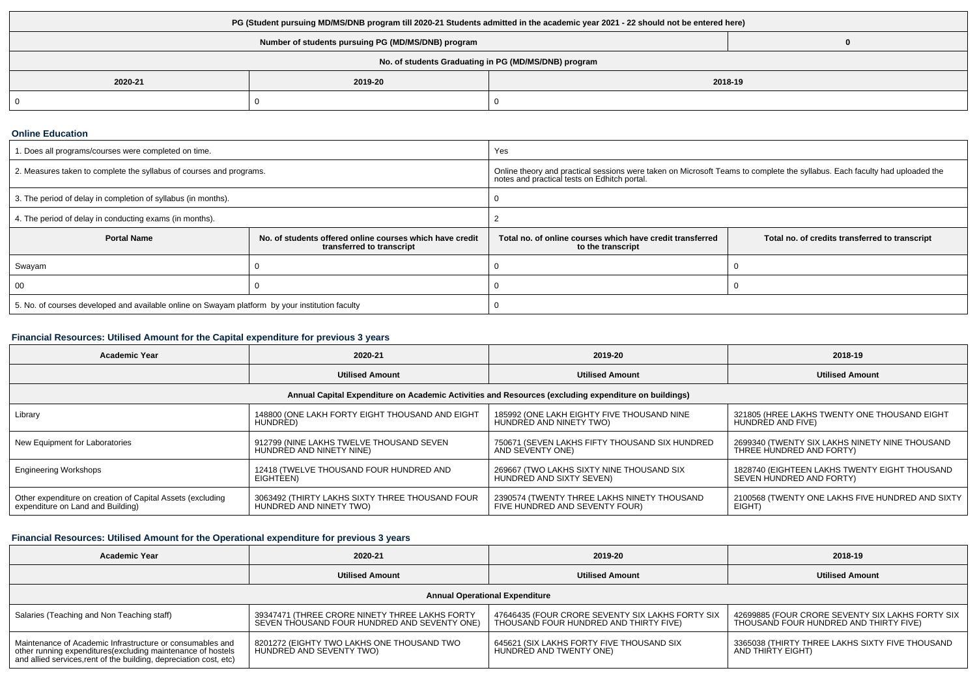| PG (Student pursuing MD/MS/DNB program till 2020-21 Students admitted in the academic year 2021 - 22 should not be entered here) |         |         |  |  |  |
|----------------------------------------------------------------------------------------------------------------------------------|---------|---------|--|--|--|
| Number of students pursuing PG (MD/MS/DNB) program                                                                               |         |         |  |  |  |
| No. of students Graduating in PG (MD/MS/DNB) program                                                                             |         |         |  |  |  |
| 2020-21                                                                                                                          | 2019-20 | 2018-19 |  |  |  |
| -0                                                                                                                               |         |         |  |  |  |

#### **Online Education**

| 1. Does all programs/courses were completed on time.                                            |                                                                                       | Yes                                                                                                                                                                        |                                                |  |  |
|-------------------------------------------------------------------------------------------------|---------------------------------------------------------------------------------------|----------------------------------------------------------------------------------------------------------------------------------------------------------------------------|------------------------------------------------|--|--|
| 2. Measures taken to complete the syllabus of courses and programs.                             |                                                                                       | Online theory and practical sessions were taken on Microsoft Teams to complete the syllabus. Each faculty had uploaded the<br>notes and practical tests on Edhitch portal. |                                                |  |  |
| 3. The period of delay in completion of syllabus (in months).                                   |                                                                                       |                                                                                                                                                                            |                                                |  |  |
| 4. The period of delay in conducting exams (in months).                                         |                                                                                       |                                                                                                                                                                            |                                                |  |  |
| <b>Portal Name</b>                                                                              | No. of students offered online courses which have credit<br>transferred to transcript | Total no, of online courses which have credit transferred<br>to the transcript                                                                                             | Total no. of credits transferred to transcript |  |  |
| Swayam                                                                                          |                                                                                       |                                                                                                                                                                            |                                                |  |  |
| 00                                                                                              |                                                                                       |                                                                                                                                                                            |                                                |  |  |
| 5. No. of courses developed and available online on Swayam platform by your institution faculty |                                                                                       |                                                                                                                                                                            |                                                |  |  |

## **Financial Resources: Utilised Amount for the Capital expenditure for previous 3 years**

| <b>Academic Year</b>                                                                                 | 2020-21                                         | 2019-20                                        | 2018-19                                          |  |  |  |  |
|------------------------------------------------------------------------------------------------------|-------------------------------------------------|------------------------------------------------|--------------------------------------------------|--|--|--|--|
|                                                                                                      | <b>Utilised Amount</b>                          | <b>Utilised Amount</b>                         | <b>Utilised Amount</b>                           |  |  |  |  |
| Annual Capital Expenditure on Academic Activities and Resources (excluding expenditure on buildings) |                                                 |                                                |                                                  |  |  |  |  |
| Library                                                                                              | 148800 (ONE LAKH FORTY EIGHT THOUSAND AND EIGHT | 185992 (ONE LAKH EIGHTY FIVE THOUSAND NINE     | 321805 (HREE LAKHS TWENTY ONE THOUSAND EIGHT     |  |  |  |  |
|                                                                                                      | HUNDRED)                                        | HUNDRED AND NINETY TWO)                        | HUNDRED AND FIVE)                                |  |  |  |  |
| New Equipment for Laboratories                                                                       | 912799 (NINE LAKHS TWELVE THOUSAND SEVEN        | 750671 (SEVEN LAKHS FIFTY THOUSAND SIX HUNDRED | 2699340 (TWENTY SIX LAKHS NINETY NINE THOUSAND   |  |  |  |  |
|                                                                                                      | HUNDRED AND NINETY NINE)                        | AND SEVENTY ONE)                               | THREE HUNDRED AND FORTY)                         |  |  |  |  |
| <b>Engineering Workshops</b>                                                                         | 12418 (TWELVE THOUSAND FOUR HUNDRED AND         | 269667 (TWO LAKHS SIXTY NINE THOUSAND SIX      | 1828740 (EIGHTEEN LAKHS TWENTY EIGHT THOUSAND    |  |  |  |  |
|                                                                                                      | EIGHTEEN)                                       | HUNDRED AND SIXTY SEVEN)                       | SEVEN HUNDRED AND FORTY)                         |  |  |  |  |
| Other expenditure on creation of Capital Assets (excluding                                           | 3063492 (THIRTY LAKHS SIXTY THREE THOUSAND FOUR | 2390574 (TWENTY THREE LAKHS NINETY THOUSAND    | 2100568 (TWENTY ONE LAKHS FIVE HUNDRED AND SIXTY |  |  |  |  |
| expenditure on Land and Building)                                                                    | HUNDRED AND NINETY TWO)                         | FIVE HUNDRED AND SEVENTY FOUR)                 | EIGHT)                                           |  |  |  |  |

## **Financial Resources: Utilised Amount for the Operational expenditure for previous 3 years**

| <b>Academic Year</b>                                                                                                                                                                           | 2020-21                                                                                        | 2019-20                                                                                    | 2018-19                                                                                    |  |  |  |
|------------------------------------------------------------------------------------------------------------------------------------------------------------------------------------------------|------------------------------------------------------------------------------------------------|--------------------------------------------------------------------------------------------|--------------------------------------------------------------------------------------------|--|--|--|
|                                                                                                                                                                                                | <b>Utilised Amount</b>                                                                         | <b>Utilised Amount</b>                                                                     | <b>Utilised Amount</b>                                                                     |  |  |  |
| <b>Annual Operational Expenditure</b>                                                                                                                                                          |                                                                                                |                                                                                            |                                                                                            |  |  |  |
| Salaries (Teaching and Non Teaching staff)                                                                                                                                                     | 39347471 (THREE CRORE NINETY THREE LAKHS FORTY<br>SEVEN THOUSAND FOUR HUNDRED AND SEVENTY ONE) | 47646435 (FOUR CRORE SEVENTY SIX LAKHS FORTY SIX<br>THOUSAND FOUR HUNDRED AND THIRTY FIVE) | 42699885 (FOUR CRORE SEVENTY SIX LAKHS FORTY SIX<br>THOUSAND FOUR HUNDRED AND THIRTY FIVE) |  |  |  |
| Maintenance of Academic Infrastructure or consumables and<br>other running expenditures(excluding maintenance of hostels<br>and allied services, rent of the building, depreciation cost, etc) | 8201272 (EIGHTY TWO LAKHS ONE THOUSAND TWO<br>HUNDRED AND SEVENTY TWO)                         | 645621 (SIX LAKHS FORTY FIVE THOUSAND SIX<br>HUNDRÈD AND TWENTY ONE)                       | 3365038 (THIRTY THREE LAKHS SIXTY FIVE THOUSAND<br>AND THIRTY EIGHT)                       |  |  |  |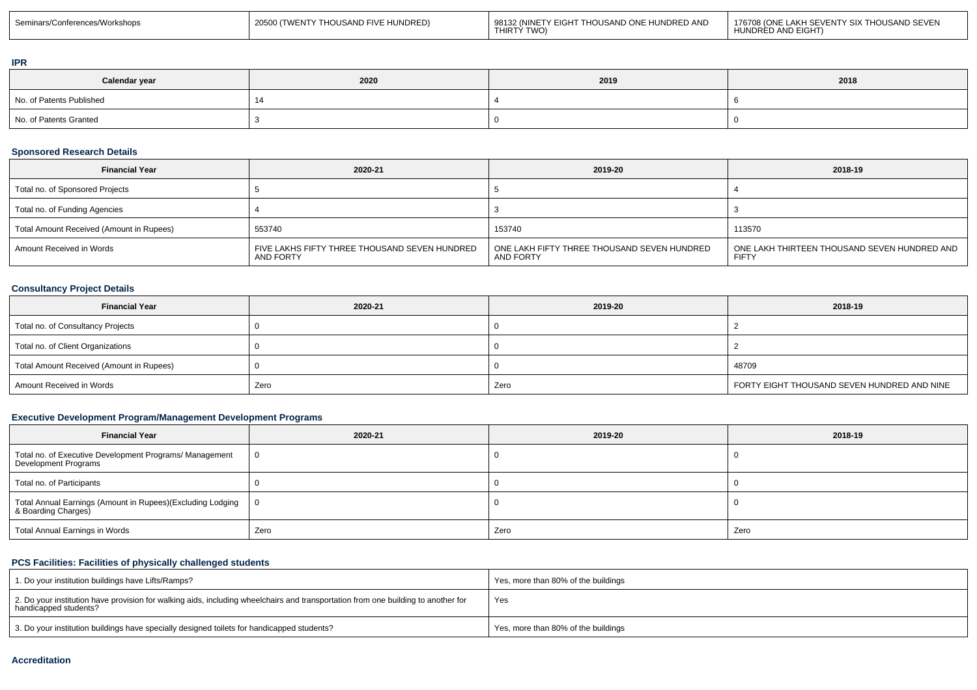| 1 176708 (ONE LAKH SEVENTY SIX THOUSAND SEVEN<br>98132 (NINETY EIGHT THOUSAND ONE HUNDRED AND<br>20500 (TWENTY THOUSAND FIVE HUNDRED)<br>Seminars/Conferences/Workshops<br>THIRTÝ TWO)<br>UNDRÈD AND EIGHT) |
|-------------------------------------------------------------------------------------------------------------------------------------------------------------------------------------------------------------|
|-------------------------------------------------------------------------------------------------------------------------------------------------------------------------------------------------------------|

#### **IPR**

| Calendar year            | 2020 | 2019 | 2018 |
|--------------------------|------|------|------|
| No. of Patents Published |      |      |      |
| No. of Patents Granted   |      |      |      |

#### **Sponsored Research Details**

| <b>Financial Year</b>                    | 2020-21                                                    | 2019-20                                                  | 2018-19                                                      |
|------------------------------------------|------------------------------------------------------------|----------------------------------------------------------|--------------------------------------------------------------|
| Total no. of Sponsored Projects          |                                                            |                                                          |                                                              |
| Total no. of Funding Agencies            |                                                            |                                                          |                                                              |
| Total Amount Received (Amount in Rupees) | 553740                                                     | 153740                                                   | 113570                                                       |
| Amount Received in Words                 | FIVE LAKHS FIFTY THREE THOUSAND SEVEN HUNDRED<br>AND FORTY | ONE LAKH FIFTY THREE THOUSAND SEVEN HUNDRED<br>AND FORTY | ONE LAKH THIRTEEN THOUSAND SEVEN HUNDRED AND<br><b>FIFTY</b> |

## **Consultancy Project Details**

| <b>Financial Year</b>                    | 2020-21 | 2019-20 | 2018-19                                     |
|------------------------------------------|---------|---------|---------------------------------------------|
| Total no. of Consultancy Projects        |         |         |                                             |
| Total no. of Client Organizations        |         |         |                                             |
| Total Amount Received (Amount in Rupees) |         |         | 48709                                       |
| Amount Received in Words                 | Zero    | Zero    | FORTY EIGHT THOUSAND SEVEN HUNDRED AND NINE |

## **Executive Development Program/Management Development Programs**

| <b>Financial Year</b>                                                             | 2020-21 | 2019-20 | 2018-19 |
|-----------------------------------------------------------------------------------|---------|---------|---------|
| Total no. of Executive Development Programs/ Management<br>Development Programs   | 0       |         |         |
| Total no. of Participants                                                         |         |         |         |
| Total Annual Earnings (Amount in Rupees)(Excluding Lodging<br>& Boarding Charges) | ΙO      |         |         |
| Total Annual Earnings in Words                                                    | Zero    | Zero    | Zero    |

## **PCS Facilities: Facilities of physically challenged students**

| 1. Do your institution buildings have Lifts/Ramps?                                                                                                         | Yes, more than 80% of the buildings |
|------------------------------------------------------------------------------------------------------------------------------------------------------------|-------------------------------------|
| 2. Do your institution have provision for walking aids, including wheelchairs and transportation from one building to another for<br>handicapped students? | Yes                                 |
| 3. Do your institution buildings have specially designed toilets for handicapped students?                                                                 | Yes, more than 80% of the buildings |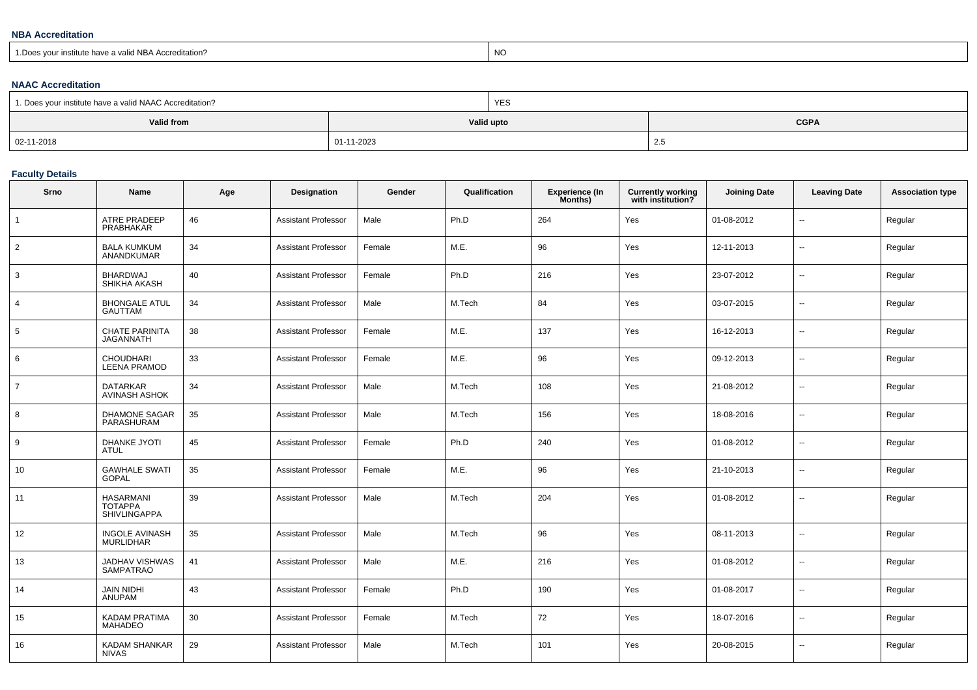#### **NBA Accreditation**

| i.Does vour institute have a valid NBA<br>Accreditation? | NC. |
|----------------------------------------------------------|-----|
|----------------------------------------------------------|-----|

### **NAAC Accreditation**

| 1. Does your institute have a valid NAAC Accreditation? |            | <b>YES</b> |             |  |  |  |
|---------------------------------------------------------|------------|------------|-------------|--|--|--|
| Valid from                                              |            | Valid upto | <b>CGPA</b> |  |  |  |
| 02-11-2018                                              | 01-11-2023 |            | 2.5         |  |  |  |

## **Faculty Details**

| Srno           | Name                                               | Age | Designation                | Gender | Qualification | <b>Experience (In</b><br>Months) | <b>Currently working</b><br>with institution? | <b>Joining Date</b> | <b>Leaving Date</b>      | <b>Association type</b> |
|----------------|----------------------------------------------------|-----|----------------------------|--------|---------------|----------------------------------|-----------------------------------------------|---------------------|--------------------------|-------------------------|
| $\mathbf{1}$   | <b>ATRE PRADEEP</b><br><b>PRABHAKAR</b>            | 46  | <b>Assistant Professor</b> | Male   | Ph.D          | 264                              | Yes                                           | 01-08-2012          | $\sim$                   | Regular                 |
| $\overline{2}$ | <b>BALA KUMKUM</b><br><b>ANANDKUMAR</b>            | 34  | Assistant Professor        | Female | M.E.          | 96                               | Yes                                           | 12-11-2013          | $\mathbf{u}$             | Regular                 |
| 3              | <b>BHARDWAJ</b><br>SHIKHA AKASH                    | 40  | <b>Assistant Professor</b> | Female | Ph.D          | 216                              | Yes                                           | 23-07-2012          | $\overline{a}$           | Regular                 |
| $\overline{4}$ | <b>BHONGALE ATUL</b><br><b>GAUTTAM</b>             | 34  | <b>Assistant Professor</b> | Male   | M.Tech        | 84                               | Yes                                           | 03-07-2015          | $\sim$                   | Regular                 |
| 5              | <b>CHATE PARINITA</b><br><b>JAGANNATH</b>          | 38  | Assistant Professor        | Female | M.E.          | 137                              | Yes                                           | 16-12-2013          | $\sim$                   | Regular                 |
| 6              | <b>CHOUDHARI</b><br><b>LEENA PRAMOD</b>            | 33  | <b>Assistant Professor</b> | Female | M.E.          | 96                               | Yes                                           | 09-12-2013          | $\ddotsc$                | Regular                 |
| $\overline{7}$ | <b>DATARKAR</b><br><b>AVINASH ASHOK</b>            | 34  | <b>Assistant Professor</b> | Male   | M.Tech        | 108                              | Yes                                           | 21-08-2012          | $\overline{\phantom{a}}$ | Regular                 |
| 8              | <b>DHAMONE SAGAR</b><br>PARASHURAM                 | 35  | Assistant Professor        | Male   | M.Tech        | 156                              | Yes                                           | 18-08-2016          | $\overline{\phantom{a}}$ | Regular                 |
| 9              | <b>DHANKE JYOTI</b><br>ATUL                        | 45  | <b>Assistant Professor</b> | Female | Ph.D          | 240                              | Yes                                           | 01-08-2012          | $\sim$                   | Regular                 |
| 10             | <b>GAWHALE SWATI</b><br><b>GOPAL</b>               | 35  | <b>Assistant Professor</b> | Female | M.E.          | 96                               | Yes                                           | 21-10-2013          | $\overline{\phantom{a}}$ | Regular                 |
| 11             | <b>HASARMANI</b><br><b>TOTAPPA</b><br>SHIVLINGAPPA | 39  | Assistant Professor        | Male   | M.Tech        | 204                              | Yes                                           | 01-08-2012          | $\overline{\phantom{a}}$ | Regular                 |
| 12             | <b>INGOLE AVINASH</b><br><b>MURLIDHAR</b>          | 35  | <b>Assistant Professor</b> | Male   | M.Tech        | 96                               | Yes                                           | 08-11-2013          | $\overline{\phantom{a}}$ | Regular                 |
| 13             | JADHAV VISHWAS<br><b>SAMPATRAO</b>                 | 41  | Assistant Professor        | Male   | M.E.          | 216                              | Yes                                           | 01-08-2012          | $\sim$                   | Regular                 |
| 14             | <b>JAIN NIDHI</b><br><b>ANUPAM</b>                 | 43  | <b>Assistant Professor</b> | Female | Ph.D          | 190                              | Yes                                           | 01-08-2017          | $\sim$                   | Regular                 |
| 15             | <b>KADAM PRATIMA</b><br><b>MAHADEO</b>             | 30  | <b>Assistant Professor</b> | Female | M.Tech        | 72                               | Yes                                           | 18-07-2016          | $\overline{\phantom{a}}$ | Regular                 |
| 16             | <b>KADAM SHANKAR</b><br><b>NIVAS</b>               | 29  | Assistant Professor        | Male   | M.Tech        | 101                              | Yes                                           | 20-08-2015          | $\overline{\phantom{a}}$ | Regular                 |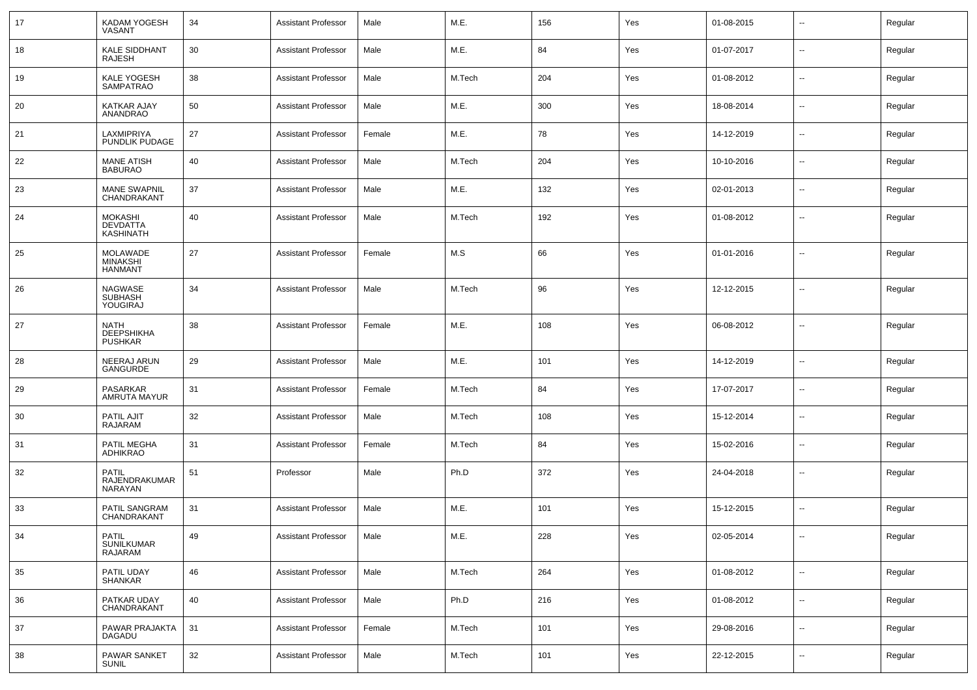| 17 | KADAM YOGESH<br>VASANT                                | 34 | <b>Assistant Professor</b> | Male   | M.E.   | 156 | Yes | 01-08-2015 | $\overline{\phantom{a}}$ | Regular |
|----|-------------------------------------------------------|----|----------------------------|--------|--------|-----|-----|------------|--------------------------|---------|
| 18 | <b>KALE SIDDHANT</b><br><b>RAJESH</b>                 | 30 | <b>Assistant Professor</b> | Male   | M.E.   | 84  | Yes | 01-07-2017 | $\overline{\phantom{a}}$ | Regular |
| 19 | KALE YOGESH<br><b>SAMPATRAO</b>                       | 38 | <b>Assistant Professor</b> | Male   | M.Tech | 204 | Yes | 01-08-2012 | $\overline{\phantom{a}}$ | Regular |
| 20 | <b>KATKAR AJAY</b><br>ANANDRAO                        | 50 | <b>Assistant Professor</b> | Male   | M.E.   | 300 | Yes | 18-08-2014 | $\overline{\phantom{a}}$ | Regular |
| 21 | LAXMIPRIYA<br>PUNDLIK PUDAGE                          | 27 | <b>Assistant Professor</b> | Female | M.E.   | 78  | Yes | 14-12-2019 | $\overline{\phantom{a}}$ | Regular |
| 22 | <b>MANE ATISH</b><br><b>BABURAO</b>                   | 40 | <b>Assistant Professor</b> | Male   | M.Tech | 204 | Yes | 10-10-2016 | $\overline{\phantom{a}}$ | Regular |
| 23 | <b>MANE SWAPNIL</b><br>CHANDRAKANT                    | 37 | <b>Assistant Professor</b> | Male   | M.E.   | 132 | Yes | 02-01-2013 | $\overline{\phantom{a}}$ | Regular |
| 24 | <b>MOKASHI</b><br><b>DEVDATTA</b><br><b>KASHINATH</b> | 40 | <b>Assistant Professor</b> | Male   | M.Tech | 192 | Yes | 01-08-2012 | $\overline{\phantom{a}}$ | Regular |
| 25 | <b>MOLAWADE</b><br><b>MINAKSHI</b><br><b>HANMANT</b>  | 27 | <b>Assistant Professor</b> | Female | M.S    | 66  | Yes | 01-01-2016 | $\overline{\phantom{a}}$ | Regular |
| 26 | <b>NAGWASE</b><br><b>SUBHASH</b><br>YOUGIRAJ          | 34 | <b>Assistant Professor</b> | Male   | M.Tech | 96  | Yes | 12-12-2015 | $\overline{\phantom{a}}$ | Regular |
| 27 | <b>NATH</b><br><b>DEEPSHIKHA</b><br><b>PUSHKAR</b>    | 38 | <b>Assistant Professor</b> | Female | M.E.   | 108 | Yes | 06-08-2012 | $\overline{\phantom{a}}$ | Regular |
| 28 | NEERAJ ARUN<br><b>GANGURDE</b>                        | 29 | <b>Assistant Professor</b> | Male   | M.E.   | 101 | Yes | 14-12-2019 | $\overline{\phantom{a}}$ | Regular |
| 29 | PASARKAR<br>AMRUTA MAYUR                              | 31 | Assistant Professor        | Female | M.Tech | 84  | Yes | 17-07-2017 | $\overline{\phantom{a}}$ | Regular |
| 30 | PATIL AJIT<br><b>RAJARAM</b>                          | 32 | <b>Assistant Professor</b> | Male   | M.Tech | 108 | Yes | 15-12-2014 | $\overline{\phantom{a}}$ | Regular |
| 31 | PATIL MEGHA<br><b>ADHIKRAO</b>                        | 31 | Assistant Professor        | Female | M.Tech | 84  | Yes | 15-02-2016 | $\overline{\phantom{a}}$ | Regular |
| 32 | PATIL<br>RAJENDRAKUMAR<br><b>NARAYAN</b>              | 51 | Professor                  | Male   | Ph.D   | 372 | Yes | 24-04-2018 | $\overline{\phantom{a}}$ | Regular |
| 33 | PATIL SANGRAM<br>CHANDRAKANT                          | 31 | <b>Assistant Professor</b> | Male   | M.E.   | 101 | Yes | 15-12-2015 | $\overline{\phantom{a}}$ | Regular |
| 34 | <b>PATIL</b><br>SUNILKUMAR<br>RAJARAM                 | 49 | <b>Assistant Professor</b> | Male   | M.E.   | 228 | Yes | 02-05-2014 | $\overline{\phantom{a}}$ | Regular |
| 35 | PATIL UDAY<br><b>SHANKAR</b>                          | 46 | <b>Assistant Professor</b> | Male   | M.Tech | 264 | Yes | 01-08-2012 | $\overline{\phantom{a}}$ | Regular |
| 36 | PATKAR UDAY<br>CHANDRAKANT                            | 40 | <b>Assistant Professor</b> | Male   | Ph.D   | 216 | Yes | 01-08-2012 | $\overline{\phantom{a}}$ | Regular |
| 37 | PAWAR PRAJAKTA<br>DAGADU                              | 31 | <b>Assistant Professor</b> | Female | M.Tech | 101 | Yes | 29-08-2016 | $\sim$                   | Regular |
| 38 | PAWAR SANKET<br><b>SUNIL</b>                          | 32 | <b>Assistant Professor</b> | Male   | M.Tech | 101 | Yes | 22-12-2015 | $\overline{\phantom{a}}$ | Regular |